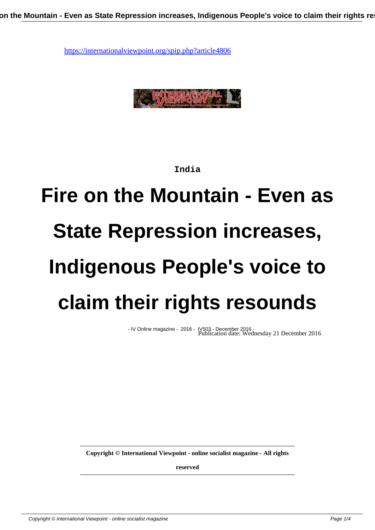

#### **India**

# **Fire on the Mountain - Even as State Repression increases, Indigenous People's voice to claim their rights resounds**

- IV Online magazine - 2016 - IV503 - December 2016 - Publication date: Wednesday 21 December 2016

**Copyright © International Viewpoint - online socialist magazine - All rights**

**reserved**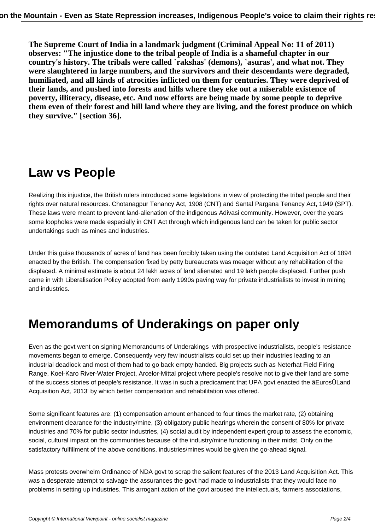**The Supreme Court of India in a landmark judgment (Criminal Appeal No: 11 of 2011) observes: "The injustice done to the tribal people of India is a shameful chapter in our country's history. The tribals were called `rakshas' (demons), `asuras', and what not. They were slaughtered in large numbers, and the survivors and their descendants were degraded, humiliated, and all kinds of atrocities inflicted on them for centuries. They were deprived of their lands, and pushed into forests and hills where they eke out a miserable existence of poverty, illiteracy, disease, etc. And now efforts are being made by some people to deprive them even of their forest and hill land where they are living, and the forest produce on which they survive." [section 36].**

## **Law vs People**

Realizing this injustice, the British rulers introduced some legislations in view of protecting the tribal people and their rights over natural resources. Chotanagpur Tenancy Act, 1908 (CNT) and Santal Pargana Tenancy Act, 1949 (SPT). These laws were meant to prevent land-alienation of the indigenous Adivasi community. However, over the years some loopholes were made especially in CNT Act through which indigenous land can be taken for public sector undertakings such as mines and industries.

Under this guise thousands of acres of land has been forcibly taken using the outdated Land Acquisition Act of 1894 enacted by the British. The compensation fixed by petty bureaucrats was meager without any rehabilitation of the displaced. A minimal estimate is about 24 lakh acres of land alienated and 19 lakh people displaced. Further push came in with Liberalisation Policy adopted from early 1990s paving way for private industrialists to invest in mining and industries.

## **Memorandums of Underakings on paper only**

Even as the govt went on signing Memorandums of Underakings with prospective industrialists, people's resistance movements began to emerge. Consequently very few industrialists could set up their industries leading to an industrial deadlock and most of them had to go back empty handed. Big projects such as Neterhat Field Firing Range, Koel-Karo River-Water Project, Arcelor-Mittal project where people's resolve not to give their land are some of the success stories of people's resistance. It was in such a predicament that UPA govt enacted the âEurosÜLand Acquisition Act, 2013' by which better compensation and rehabilitation was offered.

Some significant features are: (1) compensation amount enhanced to four times the market rate, (2) obtaining environment clearance for the industry/mine, (3) obligatory public hearings wherein the consent of 80% for private industries and 70% for public sector industries, (4) social audit by independent expert group to assess the economic, social, cultural impact on the communities because of the industry/mine functioning in their midst. Only on the satisfactory fulfillment of the above conditions, industries/mines would be given the go-ahead signal.

Mass protests overwhelm Ordinance of NDA govt to scrap the salient features of the 2013 Land Acquisition Act. This was a desperate attempt to salvage the assurances the govt had made to industrialists that they would face no problems in setting up industries. This arrogant action of the govt aroused the intellectuals, farmers associations,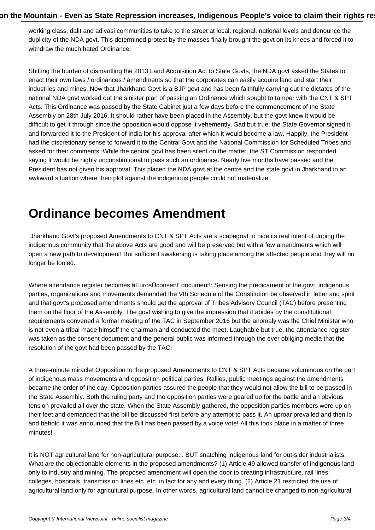working class, dalit and adivasi communities to take to the street at local, regional, national levels and denounce the duplicity of the NDA govt. This determined protest by the masses finally brought the govt on its knees and forced it to withdraw the much hated Ordinance.

Shifting the burden of dismantling the 2013 Land Acquisition Act to State Govts, the NDA govt asked the States to enact their own laws / ordinances / amendments so that the corporates can easily acquire land and start their industries and mines. Now that Jharkhand Govt is a BJP govt and has been faithfully carrying out the dictates of the national NDA govt worked out the sinister plan of passing an Ordinance which sought to tamper with the CNT & SPT Acts. This Ordinance was passed by the State Cabinet just a few days before the commencement of the State Assembly on 28th July 2016. It should rather have been placed in the Assembly, but the govt knew it would be difficult to get it through since the opposition would oppose it vehemently. Sad but true, the State Governor signed it and forwarded it to the President of India for his approval after which it would become a law. Happily, the President had the discretionary sense to forward it to the Central Govt and the National Commission for Scheduled Tribes and asked for their comments. While the central govt has been silent on the matter, the ST Commission responded saying it would be highly unconstitutional to pass such an ordinance. Nearly five months have passed and the President has not given his approval. This placed the NDA govt at the centre and the state govt in Jharkhand in an awkward situation where their plot against the indigenous people could not materialize.

#### **Ordinance becomes Amendment**

 Jharkhand Govt's proposed Amendments to CNT & SPT Acts are a scapegoat to hide its real intent of duping the indigenous community that the above Acts are good and will be preserved but with a few amendments which will open a new path to development! But sufficient awakening is taking place among the affected people and they will no longer be fooled.

Where attendance register becomes âEurosÜconsent' document!: Sensing the predicament of the govt, indigenous parties, organizations and movements demanded the Vth Schedule of the Constitution be observed in letter and spirit and that govt's proposed amendments should get the approval of Tribes Advisory Council (TAC) before presenting them on the floor of the Assembly. The govt wishing to give the impression that it abides by the constitutional requirements convened a formal meeting of the TAC in September 2016 but the anomaly was the Chief Minister who is not even a tribal made himself the chairman and conducted the meet. Laughable but true, the attendance register was taken as the consent document and the general public was informed through the ever obliging media that the resolution of the govt had been passed by the TAC!

A three-minute miracle! Opposition to the proposed Amendments to CNT & SPT Acts became voluminous on the part of indigenous mass movements and opposition political parties. Rallies, public meetings against the amendments became the order of the day. Opposition parties assured the people that they would not allow the bill to be passed in the State Assembly. Both the ruling party and the opposition parties were geared up for the battle and an obvious tension prevailed all over the state. When the State Assembly gathered, the opposition parties members were up on their feet and demanded that the bill be discussed first before any attempt to pass it. An uproar prevailed and then lo and behold it was announced that the Bill has been passed by a voice vote! All this took place in a matter of three minutes!

It is NOT agricultural land for non-agricultural purpose... BUT snatching indigenous land for out-sider industrialists. What are the objectionable elements in the proposed amendments? (1) Article 49 allowed transfer of indigenous land only to industry and mining. The proposed amendment will open the door to creating infrastructure, rail lines, colleges, hospitals, transmission lines etc. etc. in fact for any and every thing. (2) Article 21 restricted the use of agricultural land only for agricultural purpose. In other words, agricultural land cannot be changed to non-agricultural